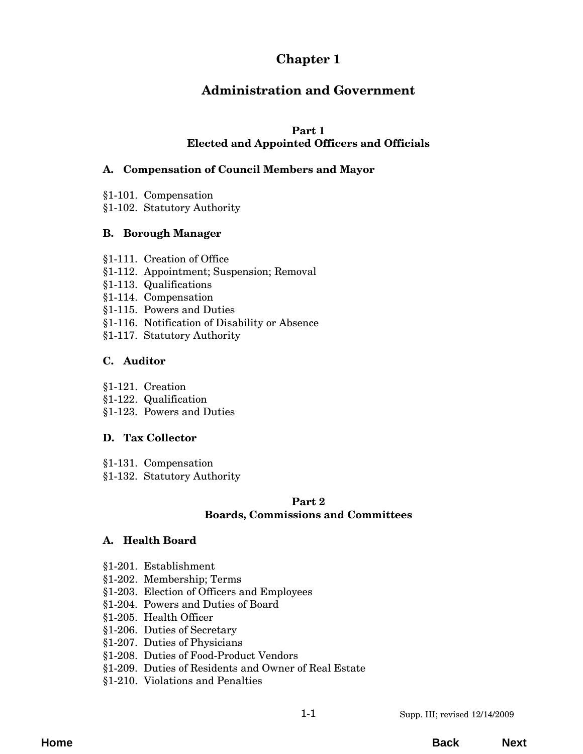# **Chapter 1**

# **Administration and Government**

# **Part 1**

### **Elected and Appointed Officers and Officials**

### **[A. Compensation of Council Members and Mayor](#page-2-0)**

- §1-101. Compensation
- §1-102. Statutory Authority

# **B. Borough Manager**

- §1-111. Creation of Office
- [§1-112. Appointment; Suspension; Removal](#page-4-0)
- §1-113. Qualifications
- §1-114. Compensation
- §1-115. Powers and Duties
- [§1-116. Notification of Disability or Absence](#page-5-0)
- §1-117. Statutory Authority

# **C. Auditor**

- §1-121. Creation
- §1-122. Qualification
- [§1-123. Powers and Duties](#page-8-0)

# **D. Tax Collector**

- §1-131. Compensation
- [§1-132. Statutory Authority](#page-10-0)

### **Part 2 Boards, Commissions and Committees**

### **A. Health Board**

- §1-201. Establishment
- §1-202. Membership; Terms
- [§1-203. Election of Officers and Employees](#page-12-0)
- §1-204. Powers and Duties of Board
- §1-205. Health Officer
- §1-206. Duties of Secretary
- §1-207. Duties of Physicians
- [§1-208. Duties of Food-Product Vendors](#page-13-0)
- [§1-209. Duties of Residents and Owner of Real Estate](#page-14-0)
- §1-210. Violations and Penalties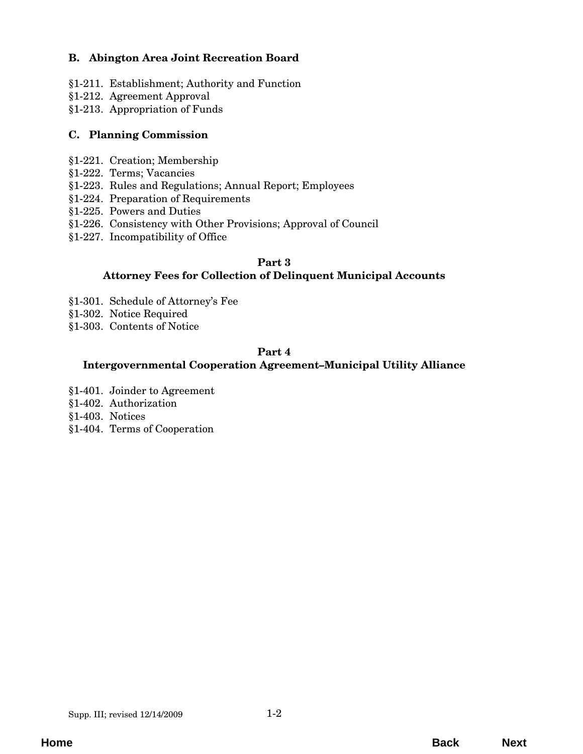# **B. Abington Area Joint Recreation Board**

- [§1-211. Establishment; Authority and Function](#page-16-0)
- §1-212. Agreement Approval
- §1-213. Appropriation of Funds

#### **C. Planning Commission**

- §1-221. Creation; Membership
- §1-222. Terms; Vacancies
- §1-223. Rules and Regulations; Annual Report; Employees
- §1-224. Preparation of Requirements
- §1-225. Powers and Duties
- [§1-226. Consistency with Other Provisions; Approval of Council](#page-18-0)
- [§1-227. Incompatibility of Office](#page-19-0)

#### **Part 3**

### **[Attorney Fees for Collection of Delinquent Municipal Accounts](#page-20-0)**

- §1-301. Schedule of Attorney's Fee
- §1-302. Notice Required
- §1-303. Contents of Notice

### **Part 4**

#### **[Intergovernmental Cooperation Agreement–Municipal Utility Alliance](#page-22-0)**

- §1-401. Joinder to Agreement
- §1-402. Authorization
- §1-403. Notices
- §1-404. Terms of Cooperation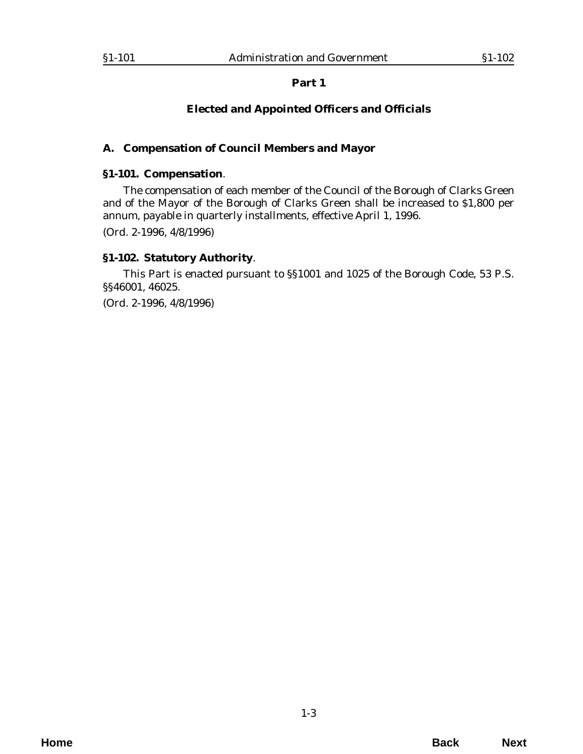# **Elected and Appointed Officers and Officials**

### <span id="page-2-0"></span>**A. Compensation of Council Members and Mayor**

#### **§1-101. Compensation**.

The compensation of each member of the Council of the Borough of Clarks Green and of the Mayor of the Borough of Clarks Green shall be increased to \$1,800 per annum, payable in quarterly installments, effective April 1, 1996. (*Ord. 2-1996*, 4/8/1996)

### **§1-102. Statutory Authority**.

This Part is enacted pursuant to §§1001 and 1025 of the Borough Code, 53 P.S. §§46001, 46025.

(*Ord. 2-1996*, 4/8/1996)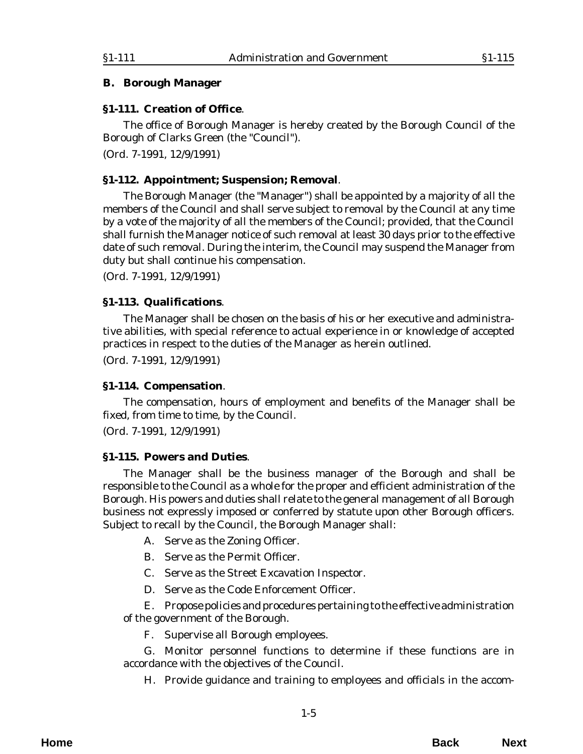#### <span id="page-4-0"></span>**B. Borough Manager**

#### **§1-111. Creation of Office**.

The office of Borough Manager is hereby created by the Borough Council of the Borough of Clarks Green (the "Council").

(*Ord. 7-1991*, 12/9/1991)

#### **§1-112. Appointment; Suspension; Removal**.

The Borough Manager (the "Manager") shall be appointed by a majority of all the members of the Council and shall serve subject to removal by the Council at any time by a vote of the majority of all the members of the Council; provided, that the Council shall furnish the Manager notice of such removal at least 30 days prior to the effective date of such removal. During the interim, the Council may suspend the Manager from duty but shall continue his compensation.

(*Ord. 7-1991*, 12/9/1991)

#### **§1-113. Qualifications**.

The Manager shall be chosen on the basis of his or her executive and administrative abilities, with special reference to actual experience in or knowledge of accepted practices in respect to the duties of the Manager as herein outlined.

(*Ord. 7-1991*, 12/9/1991)

#### **§1-114. Compensation**.

The compensation, hours of employment and benefits of the Manager shall be fixed, from time to time, by the Council.

(*Ord. 7-1991*, 12/9/1991)

#### **§1-115. Powers and Duties**.

The Manager shall be the business manager of the Borough and shall be responsible to the Council as a whole for the proper and efficient administration of the Borough. His powers and duties shall relate to the general management of all Borough business not expressly imposed or conferred by statute upon other Borough officers. Subject to recall by the Council, the Borough Manager shall:

A. Serve as the Zoning Officer.

B. Serve as the Permit Officer.

C. Serve as the Street Excavation Inspector.

D. Serve as the Code Enforcement Officer.

E. Propose policies and procedures pertaining to the effective administration of the government of the Borough.

F. Supervise all Borough employees.

G. Monitor personnel functions to determine if these functions are in accordance with the objectives of the Council.

H. Provide guidance and training to employees and officials in the accom-

**Home Back Next**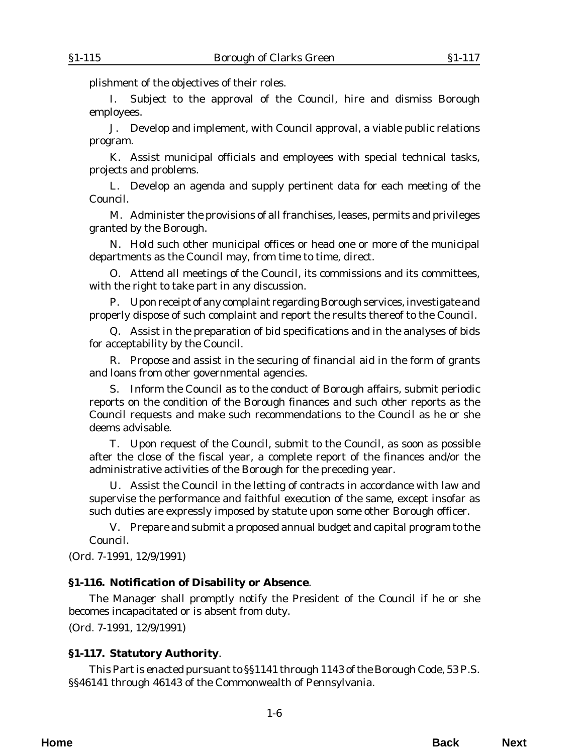<span id="page-5-0"></span>plishment of the objectives of their roles.

I. Subject to the approval of the Council, hire and dismiss Borough employees.

J. Develop and implement, with Council approval, a viable public relations program.

K. Assist municipal officials and employees with special technical tasks, projects and problems.

L. Develop an agenda and supply pertinent data for each meeting of the Council.

M. Administer the provisions of all franchises, leases, permits and privileges granted by the Borough.

N. Hold such other municipal offices or head one or more of the municipal departments as the Council may, from time to time, direct.

O. Attend all meetings of the Council, its commissions and its committees, with the right to take part in any discussion.

P. Upon receipt of any complaint regarding Borough services, investigate and properly dispose of such complaint and report the results thereof to the Council.

Q. Assist in the preparation of bid specifications and in the analyses of bids for acceptability by the Council.

R. Propose and assist in the securing of financial aid in the form of grants and loans from other governmental agencies.

S. Inform the Council as to the conduct of Borough affairs, submit periodic reports on the condition of the Borough finances and such other reports as the Council requests and make such recommendations to the Council as he or she deems advisable.

T. Upon request of the Council, submit to the Council, as soon as possible after the close of the fiscal year, a complete report of the finances and/or the administrative activities of the Borough for the preceding year.

U. Assist the Council in the letting of contracts in accordance with law and supervise the performance and faithful execution of the same, except insofar as such duties are expressly imposed by statute upon some other Borough officer.

V. Prepare and submit a proposed annual budget and capital program to the Council.

(*Ord. 7-1991*, 12/9/1991)

#### **§1-116. Notification of Disability or Absence**.

The Manager shall promptly notify the President of the Council if he or she becomes incapacitated or is absent from duty.

(*Ord. 7-1991*, 12/9/1991)

### **§1-117. Statutory Authority**.

This Part is enacted pursuant to §§1141 through 1143 of the Borough Code, 53 P.S. §§46141 through 46143 of the Commonwealth of Pennsylvania.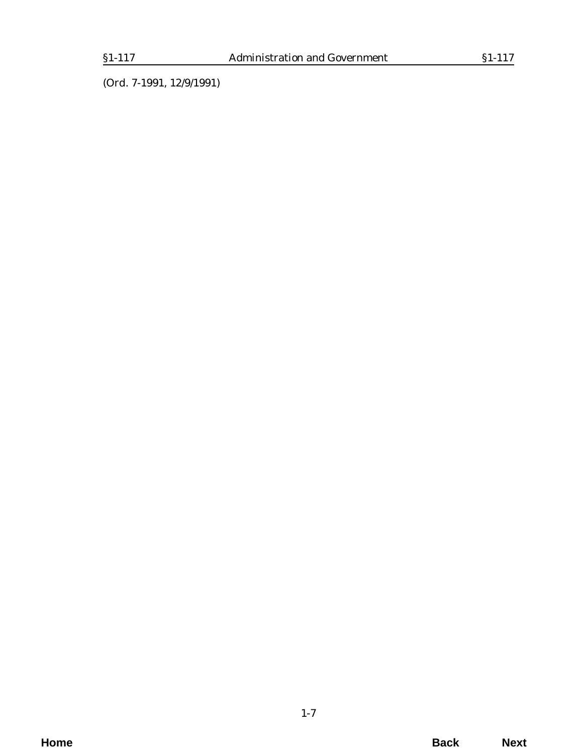(*Ord. 7-1991*, 12/9/1991)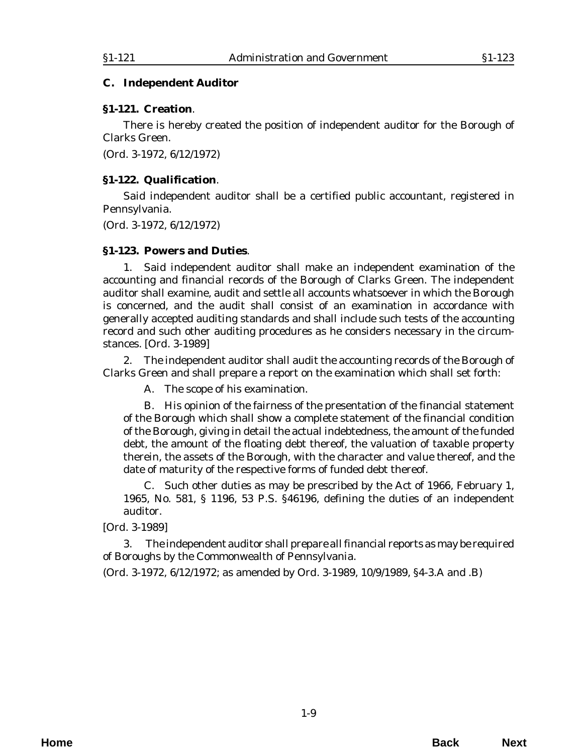#### <span id="page-8-0"></span>**C. Independent Auditor**

#### **§1-121. Creation**.

There is hereby created the position of independent auditor for the Borough of Clarks Green.

(*Ord. 3-1972*, 6/12/1972)

#### **§1-122. Qualification**.

Said independent auditor shall be a certified public accountant, registered in Pennsylvania.

(*Ord. 3-1972*, 6/12/1972)

#### **§1-123. Powers and Duties**.

1. Said independent auditor shall make an independent examination of the accounting and financial records of the Borough of Clarks Green. The independent auditor shall examine, audit and settle all accounts whatsoever in which the Borough is concerned, and the audit shall consist of an examination in accordance with generally accepted auditing standards and shall include such tests of the accounting record and such other auditing procedures as he considers necessary in the circumstances. [*Ord. 3-1989*]

2. The independent auditor shall audit the accounting records of the Borough of Clarks Green and shall prepare a report on the examination which shall set forth:

A. The scope of his examination.

B. His opinion of the fairness of the presentation of the financial statement of the Borough which shall show a complete statement of the financial condition of the Borough, giving in detail the actual indebtedness, the amount of the funded debt, the amount of the floating debt thereof, the valuation of taxable property therein, the assets of the Borough, with the character and value thereof, and the date of maturity of the respective forms of funded debt thereof.

C. Such other duties as may be prescribed by the Act of 1966, February 1, 1965, No. 581, § 1196, 53 P.S. §46196, defining the duties of an independent auditor.

[*Ord. 3-1989*]

3. The independent auditor shall prepare all financial reports as may be required of Boroughs by the Commonwealth of Pennsylvania.

(*Ord. 3-1972*, 6/12/1972; as amended by *Ord. 3-1989*, 10/9/1989, §4-3.A and .B)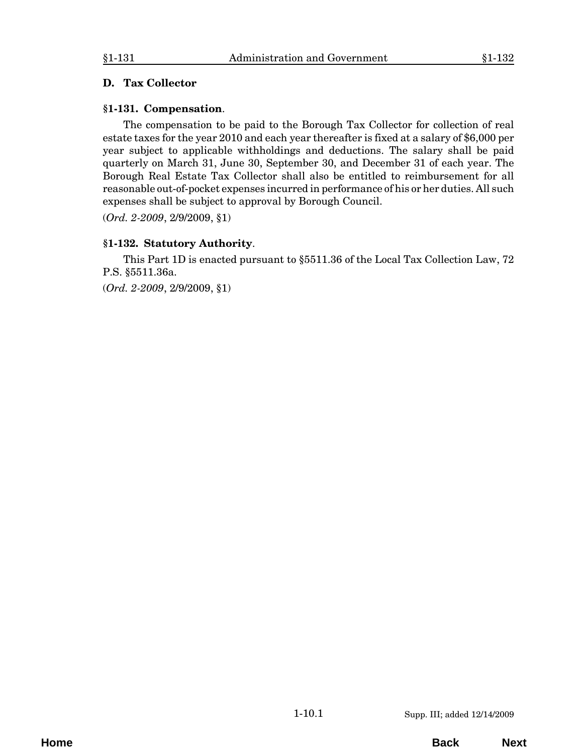#### <span id="page-10-0"></span>**D. Tax Collector**

#### **§1-131. Compensation**.

The compensation to be paid to the Borough Tax Collector for collection of real estate taxes for the year 2010 and each year thereafter is fixed at a salary of \$6,000 per year subject to applicable withholdings and deductions. The salary shall be paid quarterly on March 31, June 30, September 30, and December 31 of each year. The Borough Real Estate Tax Collector shall also be entitled to reimbursement for all reasonable out-of-pocket expenses incurred in performance of his or her duties. All such expenses shall be subject to approval by Borough Council.

(*Ord. 2-2009*, 2/9/2009, §1)

# **§1-132. Statutory Authority**.

This Part 1D is enacted pursuant to §5511.36 of the Local Tax Collection Law, 72 P.S. §5511.36a.

(*Ord. 2-2009*, 2/9/2009, §1)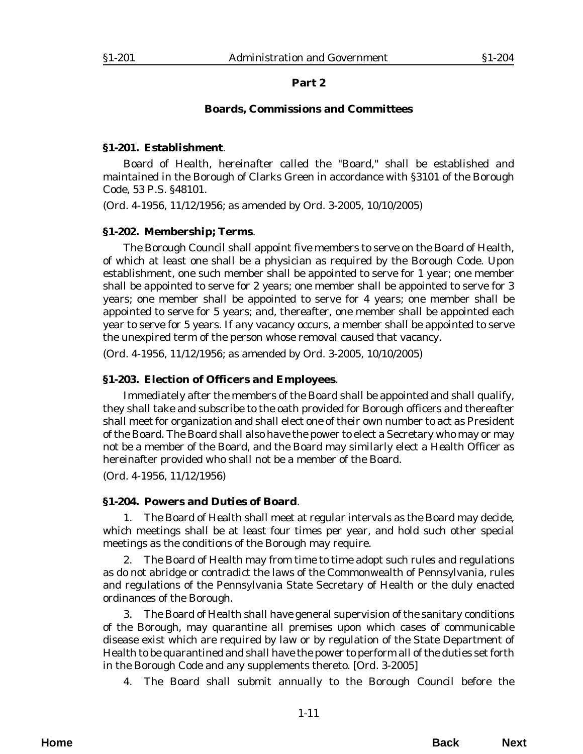#### **Boards, Commissions and Committees**

#### <span id="page-12-0"></span>**§1-201. Establishment**.

Board of Health, hereinafter called the "Board," shall be established and maintained in the Borough of Clarks Green in accordance with §3101 of the Borough Code, 53 P.S. §48101.

(*Ord. 4-1956*, 11/12/1956; as amended by *Ord. 3-2005*, 10/10/2005)

#### **§1-202. Membership; Terms**.

The Borough Council shall appoint five members to serve on the Board of Health, of which at least one shall be a physician as required by the Borough Code. Upon establishment, one such member shall be appointed to serve for 1 year; one member shall be appointed to serve for 2 years; one member shall be appointed to serve for 3 years; one member shall be appointed to serve for 4 years; one member shall be appointed to serve for 5 years; and, thereafter, one member shall be appointed each year to serve for 5 years. If any vacancy occurs, a member shall be appointed to serve the unexpired term of the person whose removal caused that vacancy.

(*Ord. 4-1956*, 11/12/1956; as amended by *Ord. 3-2005*, 10/10/2005)

#### **§1-203. Election of Officers and Employees**.

Immediately after the members of the Board shall be appointed and shall qualify, they shall take and subscribe to the oath provided for Borough officers and thereafter shall meet for organization and shall elect one of their own number to act as President of the Board. The Board shall also have the power to elect a Secretary who may or may not be a member of the Board, and the Board may similarly elect a Health Officer as hereinafter provided who shall not be a member of the Board.

(*Ord. 4-1956*, 11/12/1956)

### **§1-204. Powers and Duties of Board**.

1. The Board of Health shall meet at regular intervals as the Board may decide, which meetings shall be at least four times per year, and hold such other special meetings as the conditions of the Borough may require.

2. The Board of Health may from time to time adopt such rules and regulations as do not abridge or contradict the laws of the Commonwealth of Pennsylvania, rules and regulations of the Pennsylvania State Secretary of Health or the duly enacted ordinances of the Borough.

3. The Board of Health shall have general supervision of the sanitary conditions of the Borough, may quarantine all premises upon which cases of communicable disease exist which are required by law or by regulation of the State Department of Health to be quarantined and shall have the power to perform all of the duties set forth in the Borough Code and any supplements thereto. [*Ord. 3-2005*]

4. The Board shall submit annually to the Borough Council before the

**Home Back Next**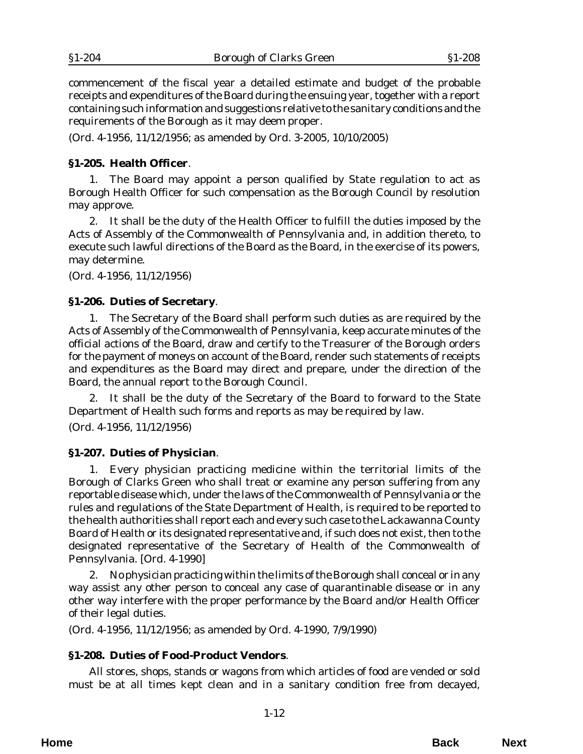<span id="page-13-0"></span>commencement of the fiscal year a detailed estimate and budget of the probable receipts and expenditures of the Board during the ensuing year, together with a report containing such information and suggestions relative to the sanitary conditions and the requirements of the Borough as it may deem proper.

(*Ord. 4-1956*, 11/12/1956; as amended by *Ord. 3-2005*, 10/10/2005)

### **§1-205. Health Officer**.

1. The Board may appoint a person qualified by State regulation to act as Borough Health Officer for such compensation as the Borough Council by resolution may approve.

2. It shall be the duty of the Health Officer to fulfill the duties imposed by the Acts of Assembly of the Commonwealth of Pennsylvania and, in addition thereto, to execute such lawful directions of the Board as the Board, in the exercise of its powers, may determine.

(*Ord. 4-1956*, 11/12/1956)

### **§1-206. Duties of Secretary**.

1. The Secretary of the Board shall perform such duties as are required by the Acts of Assembly of the Commonwealth of Pennsylvania, keep accurate minutes of the official actions of the Board, draw and certify to the Treasurer of the Borough orders for the payment of moneys on account of the Board, render such statements of receipts and expenditures as the Board may direct and prepare, under the direction of the Board, the annual report to the Borough Council.

2. It shall be the duty of the Secretary of the Board to forward to the State Department of Health such forms and reports as may be required by law.

(*Ord. 4-1956*, 11/12/1956)

### **§1-207. Duties of Physician**.

1. Every physician practicing medicine within the territorial limits of the Borough of Clarks Green who shall treat or examine any person suffering from any reportable disease which, under the laws of the Commonwealth of Pennsylvania or the rules and regulations of the State Department of Health, is required to be reported to the health authorities shall report each and every such case to the Lackawanna County Board of Health or its designated representative and, if such does not exist, then to the designated representative of the Secretary of Health of the Commonwealth of Pennsylvania. [*Ord. 4-1990*]

2. No physician practicing within the limits of the Borough shall conceal or in any way assist any other person to conceal any case of quarantinable disease or in any other way interfere with the proper performance by the Board and/or Health Officer of their legal duties.

(*Ord. 4-1956*, 11/12/1956; as amended by *Ord. 4-1990*, 7/9/1990)

### **§1-208. Duties of Food-Product Vendors**.

All stores, shops, stands or wagons from which articles of food are vended or sold must be at all times kept clean and in a sanitary condition free from decayed,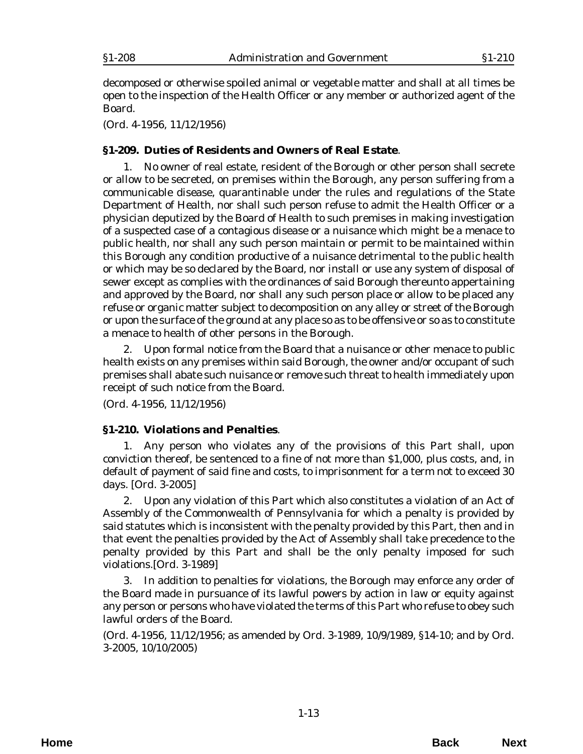<span id="page-14-0"></span>decomposed or otherwise spoiled animal or vegetable matter and shall at all times be open to the inspection of the Health Officer or any member or authorized agent of the Board.

(*Ord. 4-1956*, 11/12/1956)

# **§1-209. Duties of Residents and Owners of Real Estate**.

1. No owner of real estate, resident of the Borough or other person shall secrete or allow to be secreted, on premises within the Borough, any person suffering from a communicable disease, quarantinable under the rules and regulations of the State Department of Health, nor shall such person refuse to admit the Health Officer or a physician deputized by the Board of Health to such premises in making investigation of a suspected case of a contagious disease or a nuisance which might be a menace to public health, nor shall any such person maintain or permit to be maintained within this Borough any condition productive of a nuisance detrimental to the public health or which may be so declared by the Board, nor install or use any system of disposal of sewer except as complies with the ordinances of said Borough thereunto appertaining and approved by the Board, nor shall any such person place or allow to be placed any refuse or organic matter subject to decomposition on any alley or street of the Borough or upon the surface of the ground at any place so as to be offensive or so as to constitute a menace to health of other persons in the Borough.

2. Upon formal notice from the Board that a nuisance or other menace to public health exists on any premises within said Borough, the owner and/or occupant of such premises shall abate such nuisance or remove such threat to health immediately upon receipt of such notice from the Board.

(*Ord. 4-1956*, 11/12/1956)

### **§1-210. Violations and Penalties**.

1. Any person who violates any of the provisions of this Part shall, upon conviction thereof, be sentenced to a fine of not more than \$1,000, plus costs, and, in default of payment of said fine and costs, to imprisonment for a term not to exceed 30 days. [*Ord. 3-2005*]

2. Upon any violation of this Part which also constitutes a violation of an Act of Assembly of the Commonwealth of Pennsylvania for which a penalty is provided by said statutes which is inconsistent with the penalty provided by this Part, then and in that event the penalties provided by the Act of Assembly shall take precedence to the penalty provided by this Part and shall be the only penalty imposed for such violations.[*Ord. 3-1989*]

3. In addition to penalties for violations, the Borough may enforce any order of the Board made in pursuance of its lawful powers by action in law or equity against any person or persons who have violated the terms of this Part who refuse to obey such lawful orders of the Board.

(*Ord. 4-1956*, 11/12/1956; as amended by *Ord. 3-1989*, 10/9/1989, §14-10; and by *Ord. 3-2005*, 10/10/2005)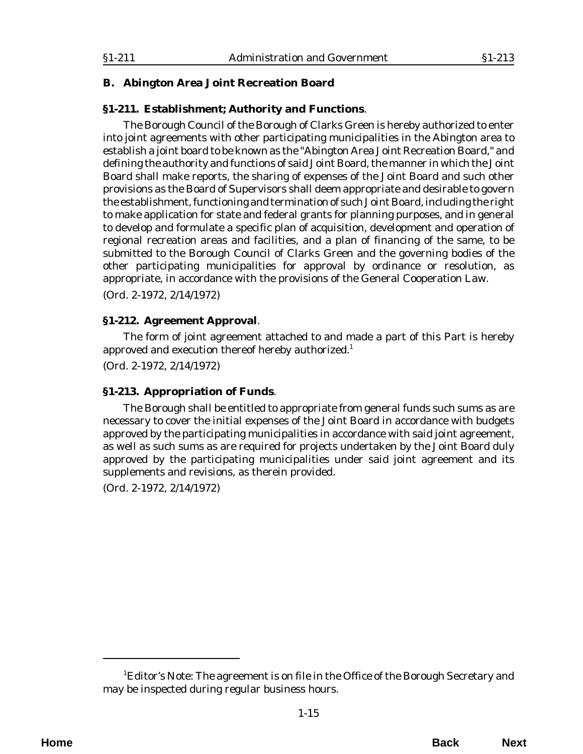### <span id="page-16-0"></span>**B. Abington Area Joint Recreation Board**

### **§1-211. Establishment; Authority and Functions**.

The Borough Council of the Borough of Clarks Green is hereby authorized to enter into joint agreements with other participating municipalities in the Abington area to establish a joint board to be known as the "Abington Area Joint Recreation Board," and defining the authority and functions of said Joint Board, the manner in which the Joint Board shall make reports, the sharing of expenses of the Joint Board and such other provisions as the Board of Supervisors shall deem appropriate and desirable to govern the establishment, functioning and termination of such Joint Board, including the right to make application for state and federal grants for planning purposes, and in general to develop and formulate a specific plan of acquisition, development and operation of regional recreation areas and facilities, and a plan of financing of the same, to be submitted to the Borough Council of Clarks Green and the governing bodies of the other participating municipalities for approval by ordinance or resolution, as appropriate, in accordance with the provisions of the General Cooperation Law. (*Ord. 2-1972*, 2/14/1972)

#### **§1-212. Agreement Approval**.

The form of joint agreement attached to and made a part of this Part is hereby approved and execution thereof hereby authorized.<sup>1</sup>

(*Ord. 2-1972*, 2/14/1972)

### **§1-213. Appropriation of Funds**.

The Borough shall be entitled to appropriate from general funds such sums as are necessary to cover the initial expenses of the Joint Board in accordance with budgets approved by the participating municipalities in accordance with said joint agreement, as well as such sums as are required for projects undertaken by the Joint Board duly approved by the participating municipalities under said joint agreement and its supplements and revisions, as therein provided.

(*Ord. 2-1972*, 2/14/1972)

<sup>&</sup>lt;sup>1</sup>Editor's Note: The agreement is on file in the Office of the Borough Secretary and may be inspected during regular business hours.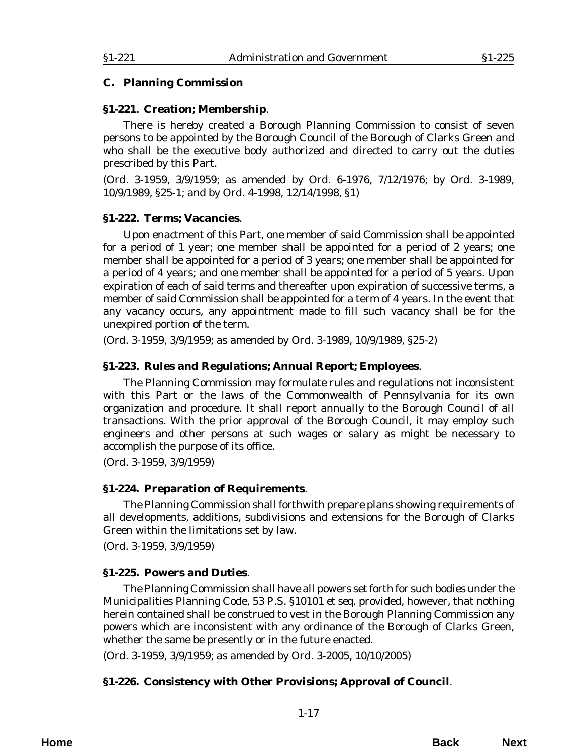#### <span id="page-18-0"></span>**C. Planning Commission**

#### **§1-221. Creation; Membership**.

There is hereby created a Borough Planning Commission to consist of seven persons to be appointed by the Borough Council of the Borough of Clarks Green and who shall be the executive body authorized and directed to carry out the duties prescribed by this Part.

(*Ord. 3-1959*, 3/9/1959; as amended by *Ord. 6-1976*, 7/12/1976; by *Ord. 3-1989*, 10/9/1989, §25-1; and by *Ord. 4-1998*, 12/14/1998, §1)

#### **§1-222. Terms; Vacancies**.

Upon enactment of this Part, one member of said Commission shall be appointed for a period of 1 year; one member shall be appointed for a period of 2 years; one member shall be appointed for a period of 3 years; one member shall be appointed for a period of 4 years; and one member shall be appointed for a period of 5 years. Upon expiration of each of said terms and thereafter upon expiration of successive terms, a member of said Commission shall be appointed for a term of 4 years. In the event that any vacancy occurs, any appointment made to fill such vacancy shall be for the unexpired portion of the term.

(*Ord. 3-1959*, 3/9/1959; as amended by *Ord. 3-1989,* 10/9/1989, §25-2)

### **§1-223. Rules and Regulations; Annual Report; Employees**.

The Planning Commission may formulate rules and regulations not inconsistent with this Part or the laws of the Commonwealth of Pennsylvania for its own organization and procedure. It shall report annually to the Borough Council of all transactions. With the prior approval of the Borough Council, it may employ such engineers and other persons at such wages or salary as might be necessary to accomplish the purpose of its office.

(*Ord. 3-1959*, 3/9/1959)

### **§1-224. Preparation of Requirements**.

The Planning Commission shall forthwith prepare plans showing requirements of all developments, additions, subdivisions and extensions for the Borough of Clarks Green within the limitations set by law.

(*Ord. 3-1959*, 3/9/1959)

### **§1-225. Powers and Duties**.

The Planning Commission shall have all powers set forth for such bodies under the Municipalities Planning Code, 53 P.S. §10101 *et seq.* provided, however, that nothing herein contained shall be construed to vest in the Borough Planning Commission any powers which are inconsistent with any ordinance of the Borough of Clarks Green, whether the same be presently or in the future enacted.

(*Ord. 3-1959*, 3/9/1959; as amended by *Ord. 3-2005*, 10/10/2005)

# **§1-226. Consistency with Other Provisions; Approval of Council**.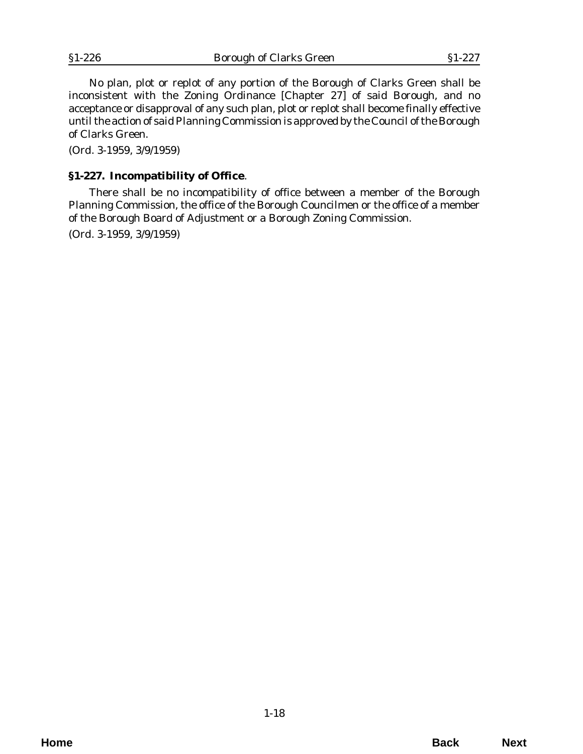<span id="page-19-0"></span>No plan, plot or replot of any portion of the Borough of Clarks Green shall be inconsistent with the Zoning Ordinance [Chapter 27] of said Borough, and no acceptance or disapproval of any such plan, plot or replot shall become finally effective until the action of said Planning Commission is approved by the Council of the Borough of Clarks Green.

(*Ord. 3-1959*, 3/9/1959)

### **§1-227. Incompatibility of Office**.

There shall be no incompatibility of office between a member of the Borough Planning Commission, the office of the Borough Councilmen or the office of a member of the Borough Board of Adjustment or a Borough Zoning Commission.

(*Ord. 3-1959*, 3/9/1959)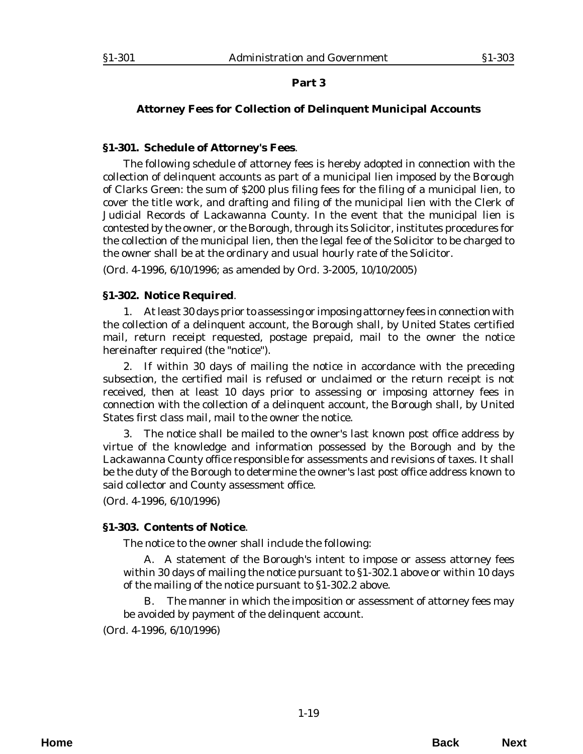#### <span id="page-20-0"></span>**Attorney Fees for Collection of Delinquent Municipal Accounts**

#### **§1-301. Schedule of Attorney's Fees**.

The following schedule of attorney fees is hereby adopted in connection with the collection of delinquent accounts as part of a municipal lien imposed by the Borough of Clarks Green: the sum of \$200 plus filing fees for the filing of a municipal lien, to cover the title work, and drafting and filing of the municipal lien with the Clerk of Judicial Records of Lackawanna County. In the event that the municipal lien is contested by the owner, or the Borough, through its Solicitor, institutes procedures for the collection of the municipal lien, then the legal fee of the Solicitor to be charged to the owner shall be at the ordinary and usual hourly rate of the Solicitor.

(*Ord. 4-1996*, 6/10/1996; as amended by *Ord. 3-2005*, 10/10/2005)

#### **§1-302. Notice Required**.

1. At least 30 days prior to assessing or imposing attorney fees in connection with the collection of a delinquent account, the Borough shall, by United States certified mail, return receipt requested, postage prepaid, mail to the owner the notice hereinafter required (the "notice").

2. If within 30 days of mailing the notice in accordance with the preceding subsection, the certified mail is refused or unclaimed or the return receipt is not received, then at least 10 days prior to assessing or imposing attorney fees in connection with the collection of a delinquent account, the Borough shall, by United States first class mail, mail to the owner the notice.

3. The notice shall be mailed to the owner's last known post office address by virtue of the knowledge and information possessed by the Borough and by the Lackawanna County office responsible for assessments and revisions of taxes. It shall be the duty of the Borough to determine the owner's last post office address known to said collector and County assessment office.

(*Ord. 4-1996*, 6/10/1996)

#### **§1-303. Contents of Notice**.

The notice to the owner shall include the following:

A. A statement of the Borough's intent to impose or assess attorney fees within 30 days of mailing the notice pursuant to §1-302.1 above or within 10 days of the mailing of the notice pursuant to §1-302.2 above.

The manner in which the imposition or assessment of attorney fees may be avoided by payment of the delinquent account.

(*Ord. 4-1996*, 6/10/1996)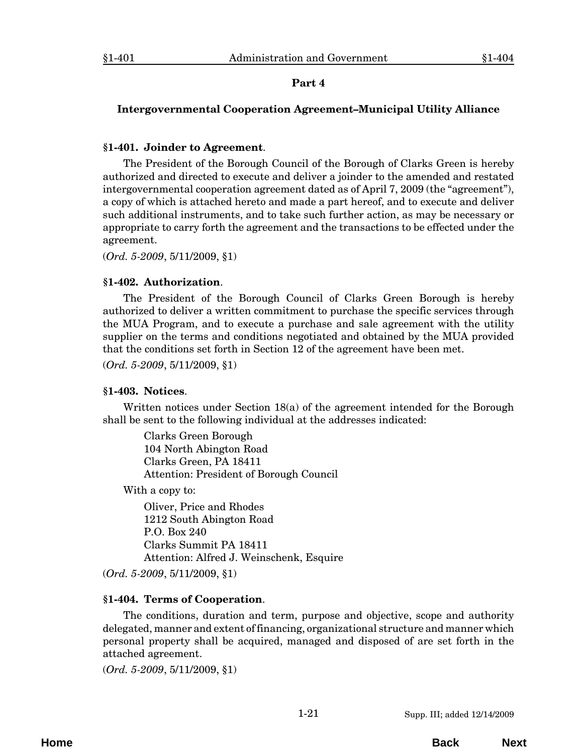### <span id="page-22-0"></span>**Intergovernmental Cooperation Agreement–Municipal Utility Alliance**

### **§1-401. Joinder to Agreement**.

The President of the Borough Council of the Borough of Clarks Green is hereby authorized and directed to execute and deliver a joinder to the amended and restated intergovernmental cooperation agreement dated as of April 7, 2009 (the "agreement"), a copy of which is attached hereto and made a part hereof, and to execute and deliver such additional instruments, and to take such further action, as may be necessary or appropriate to carry forth the agreement and the transactions to be effected under the agreement.

(*Ord. 5-2009*, 5/11/2009, §1)

### **§1-402. Authorization**.

The President of the Borough Council of Clarks Green Borough is hereby authorized to deliver a written commitment to purchase the specific services through the MUA Program, and to execute a purchase and sale agreement with the utility supplier on the terms and conditions negotiated and obtained by the MUA provided that the conditions set forth in Section 12 of the agreement have been met.

(*Ord. 5-2009*, 5/11/2009, §1)

### **§1-403. Notices**.

Written notices under Section 18(a) of the agreement intended for the Borough shall be sent to the following individual at the addresses indicated:

Clarks Green Borough 104 North Abington Road Clarks Green, PA 18411 Attention: President of Borough Council

With a copy to:

Oliver, Price and Rhodes 1212 South Abington Road P.O. Box 240 Clarks Summit PA 18411 Attention: Alfred J. Weinschenk, Esquire

(*Ord. 5-2009*, 5/11/2009, §1)

# **§1-404. Terms of Cooperation**.

The conditions, duration and term, purpose and objective, scope and authority delegated, manner and extent of financing, organizational structure and manner which personal property shall be acquired, managed and disposed of are set forth in the attached agreement.

(*Ord. 5-2009*, 5/11/2009, §1)